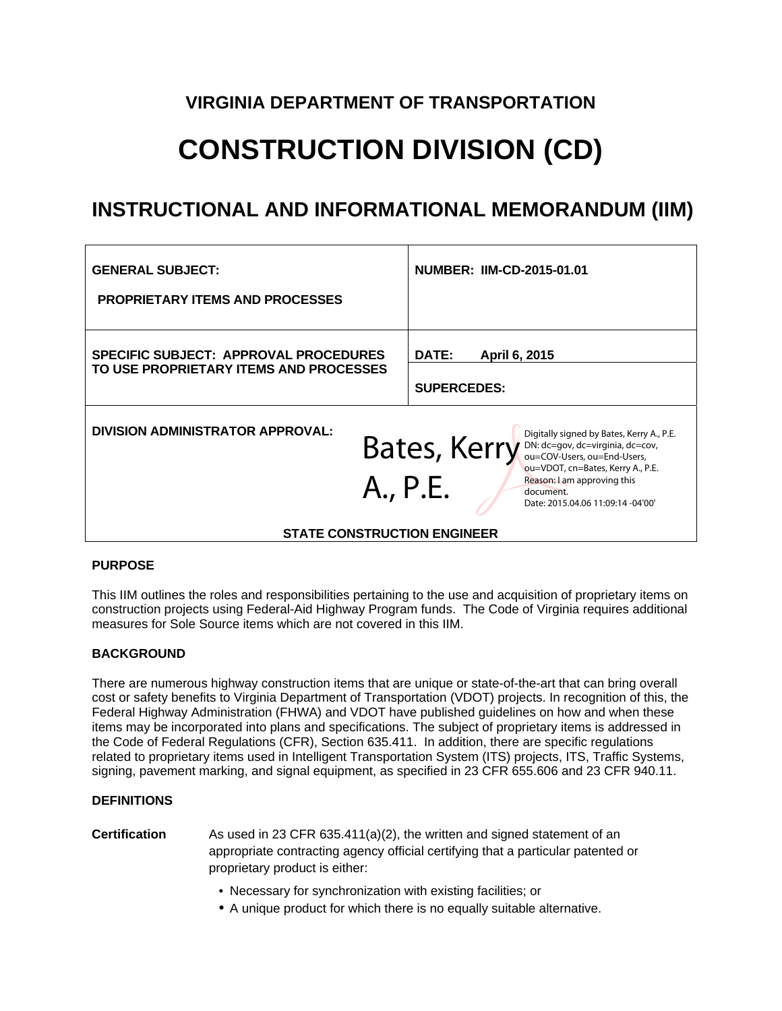# **VIRGINIA DEPARTMENT OF TRANSPORTATION**

# **CONSTRUCTION DIVISION (CD)**

# **INSTRUCTIONAL AND INFORMATIONAL MEMORANDUM (IIM)**

| <b>GENERAL SUBJECT:</b><br><b>PROPRIETARY ITEMS AND PROCESSES</b>                                                                                                                                                                                                              | <b>NUMBER: IIM-CD-2015-01.01</b>             |  |
|--------------------------------------------------------------------------------------------------------------------------------------------------------------------------------------------------------------------------------------------------------------------------------|----------------------------------------------|--|
| <b>SPECIFIC SUBJECT: APPROVAL PROCEDURES</b><br>TO USE PROPRIETARY ITEMS AND PROCESSES                                                                                                                                                                                         | DATE:<br>April 6, 2015<br><b>SUPERCEDES:</b> |  |
| <b>DIVISION ADMINISTRATOR APPROVAL:</b><br>Digitally signed by Bates, Kerry A., P.E.<br><b>Bates, Kerry</b> DN: dc=gov, dc=virginia, dc=cov,<br>ou=VDOT, cn=Bates, Kerry A., P.E.<br>Reason: I am approving this<br>A., P.E.<br>document.<br>Date: 2015.04.06 11:09:14 -04'00' |                                              |  |
| <b>STATE CONSTRUCTION ENGINEER</b>                                                                                                                                                                                                                                             |                                              |  |

# **PURPOSE**

This IIM outlines the roles and responsibilities pertaining to the use and acquisition of proprietary items on construction projects using Federal-Aid Highway Program funds. The Code of Virginia requires additional measures for Sole Source items which are not covered in this IIM.

# **BACKGROUND**

There are numerous highway construction items that are unique or state-of-the-art that can bring overall cost or safety benefits to Virginia Department of Transportation (VDOT) projects. In recognition of this, the Federal Highway Administration (FHWA) and VDOT have published guidelines on how and when these items may be incorporated into plans and specifications. The subject of proprietary items is addressed in the Code of Federal Regulations (CFR), Section 635.411. In addition, there are specific regulations related to proprietary items used in Intelligent Transportation System (ITS) projects, ITS, Traffic Systems, signing, pavement marking, and signal equipment, as specified in 23 CFR 655.606 and 23 CFR 940.11.

# **DEFINITIONS**

**Certification** As used in 23 CFR 635.411(a)(2), the written and signed statement of an appropriate contracting agency official certifying that a particular patented or proprietary product is either:

- Necessary for synchronization with existing facilities; or
- A unique product for which there is no equally suitable alternative.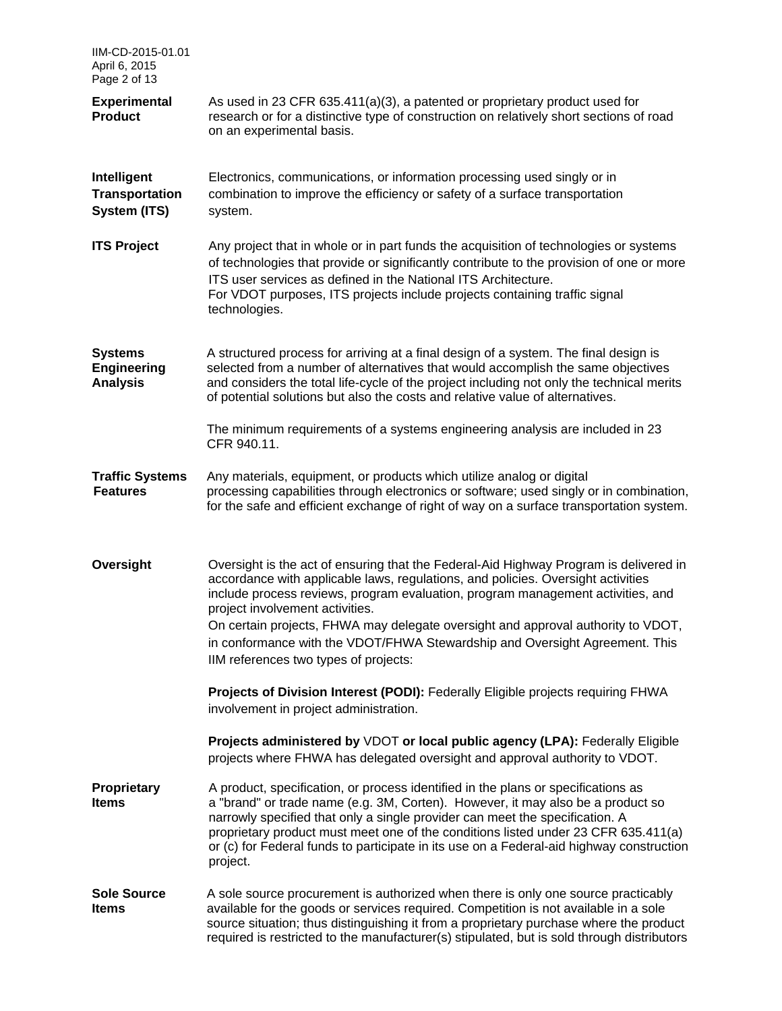| IIM-CD-2015-01.01<br>April 6, 2015<br>Page 2 of 13      |                                                                                                                                                                                                                                                                                                                                                                                                                                                                                                             |
|---------------------------------------------------------|-------------------------------------------------------------------------------------------------------------------------------------------------------------------------------------------------------------------------------------------------------------------------------------------------------------------------------------------------------------------------------------------------------------------------------------------------------------------------------------------------------------|
| <b>Experimental</b><br><b>Product</b>                   | As used in 23 CFR 635.411(a)(3), a patented or proprietary product used for<br>research or for a distinctive type of construction on relatively short sections of road<br>on an experimental basis.                                                                                                                                                                                                                                                                                                         |
| Intelligent<br><b>Transportation</b><br>System (ITS)    | Electronics, communications, or information processing used singly or in<br>combination to improve the efficiency or safety of a surface transportation<br>system.                                                                                                                                                                                                                                                                                                                                          |
| <b>ITS Project</b>                                      | Any project that in whole or in part funds the acquisition of technologies or systems<br>of technologies that provide or significantly contribute to the provision of one or more<br>ITS user services as defined in the National ITS Architecture.<br>For VDOT purposes, ITS projects include projects containing traffic signal<br>technologies.                                                                                                                                                          |
| <b>Systems</b><br><b>Engineering</b><br><b>Analysis</b> | A structured process for arriving at a final design of a system. The final design is<br>selected from a number of alternatives that would accomplish the same objectives<br>and considers the total life-cycle of the project including not only the technical merits<br>of potential solutions but also the costs and relative value of alternatives.                                                                                                                                                      |
|                                                         | The minimum requirements of a systems engineering analysis are included in 23<br>CFR 940.11.                                                                                                                                                                                                                                                                                                                                                                                                                |
| <b>Traffic Systems</b><br><b>Features</b>               | Any materials, equipment, or products which utilize analog or digital<br>processing capabilities through electronics or software; used singly or in combination,<br>for the safe and efficient exchange of right of way on a surface transportation system.                                                                                                                                                                                                                                                 |
| Oversight                                               | Oversight is the act of ensuring that the Federal-Aid Highway Program is delivered in<br>accordance with applicable laws, regulations, and policies. Oversight activities<br>include process reviews, program evaluation, program management activities, and<br>project involvement activities.<br>On certain projects, FHWA may delegate oversight and approval authority to VDOT,<br>in conformance with the VDOT/FHWA Stewardship and Oversight Agreement. This<br>IIM references two types of projects: |
|                                                         | Projects of Division Interest (PODI): Federally Eligible projects requiring FHWA<br>involvement in project administration.                                                                                                                                                                                                                                                                                                                                                                                  |
|                                                         | Projects administered by VDOT or local public agency (LPA): Federally Eligible<br>projects where FHWA has delegated oversight and approval authority to VDOT.                                                                                                                                                                                                                                                                                                                                               |
| Proprietary<br><b>Items</b>                             | A product, specification, or process identified in the plans or specifications as<br>a "brand" or trade name (e.g. 3M, Corten). However, it may also be a product so<br>narrowly specified that only a single provider can meet the specification. A<br>proprietary product must meet one of the conditions listed under 23 CFR 635.411(a)<br>or (c) for Federal funds to participate in its use on a Federal-aid highway construction<br>project.                                                          |
| <b>Sole Source</b><br><b>Items</b>                      | A sole source procurement is authorized when there is only one source practicably<br>available for the goods or services required. Competition is not available in a sole<br>source situation; thus distinguishing it from a proprietary purchase where the product<br>required is restricted to the manufacturer(s) stipulated, but is sold through distributors                                                                                                                                           |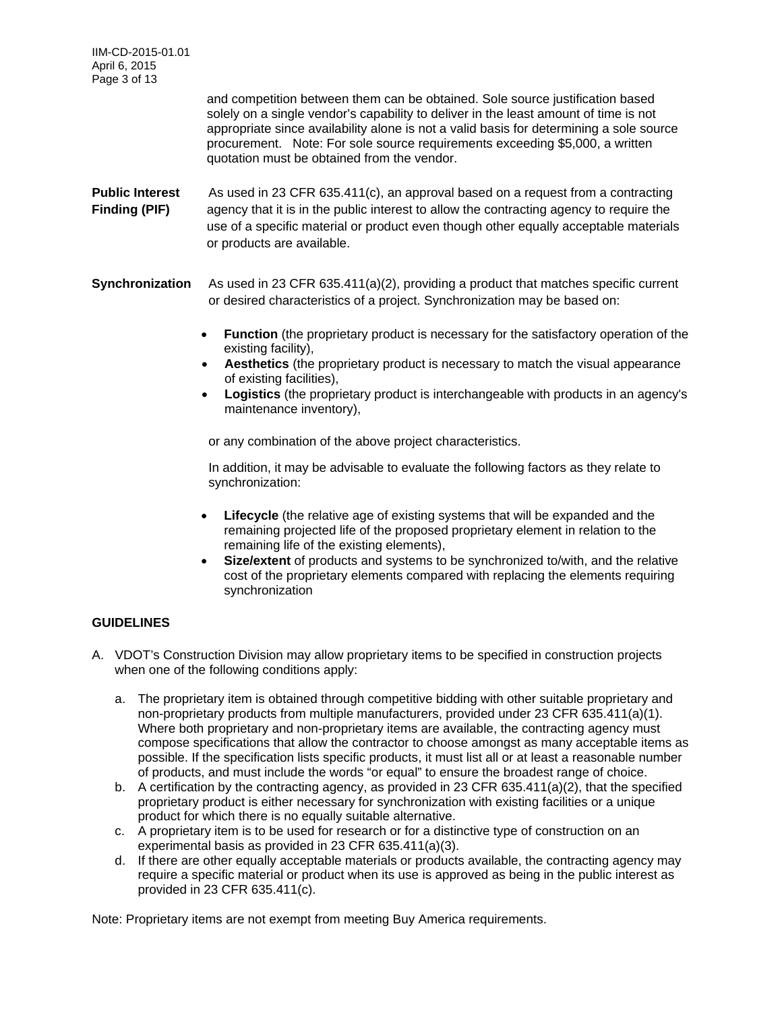IIM-CD-2015-01.01 April 6, 2015 Page 3 of 13

> and competition between them can be obtained. Sole source justification based solely on a single vendor's capability to deliver in the least amount of time is not appropriate since availability alone is not a valid basis for determining a sole source procurement. Note: For sole source requirements exceeding \$5,000, a written quotation must be obtained from the vendor.

**Public Interest** As used in 23 CFR 635.411(c), an approval based on a request from a contracting **Finding (PIF)** agency that it is in the public interest to allow the contracting agency to require the use of a specific material or product even though other equally acceptable materials or products are available.

**Synchronization** As used in 23 CFR 635.411(a)(2), providing a product that matches specific current or desired characteristics of a project. Synchronization may be based on:

- **Function** (the proprietary product is necessary for the satisfactory operation of the existing facility),
- **Aesthetics** (the proprietary product is necessary to match the visual appearance of existing facilities),
- **Logistics** (the proprietary product is interchangeable with products in an agency's maintenance inventory),

or any combination of the above project characteristics.

In addition, it may be advisable to evaluate the following factors as they relate to synchronization:

- **Lifecycle** (the relative age of existing systems that will be expanded and the remaining projected life of the proposed proprietary element in relation to the remaining life of the existing elements),
- **Size/extent** of products and systems to be synchronized to/with, and the relative cost of the proprietary elements compared with replacing the elements requiring synchronization

# **GUIDELINES**

- A. VDOT's Construction Division may allow proprietary items to be specified in construction projects when one of the following conditions apply:
	- a. The proprietary item is obtained through competitive bidding with other suitable proprietary and non-proprietary products from multiple manufacturers, provided under 23 CFR 635.411(a)(1). Where both proprietary and non-proprietary items are available, the contracting agency must compose specifications that allow the contractor to choose amongst as many acceptable items as possible. If the specification lists specific products, it must list all or at least a reasonable number of products, and must include the words "or equal" to ensure the broadest range of choice.
	- b. A certification by the contracting agency, as provided in 23 CFR 635.411(a)(2), that the specified proprietary product is either necessary for synchronization with existing facilities or a unique product for which there is no equally suitable alternative.
	- c. A proprietary item is to be used for research or for a distinctive type of construction on an experimental basis as provided in 23 CFR 635.411(a)(3).
	- d. If there are other equally acceptable materials or products available, the contracting agency may require a specific material or product when its use is approved as being in the public interest as provided in 23 CFR 635.411(c).

Note: Proprietary items are not exempt from meeting Buy America requirements.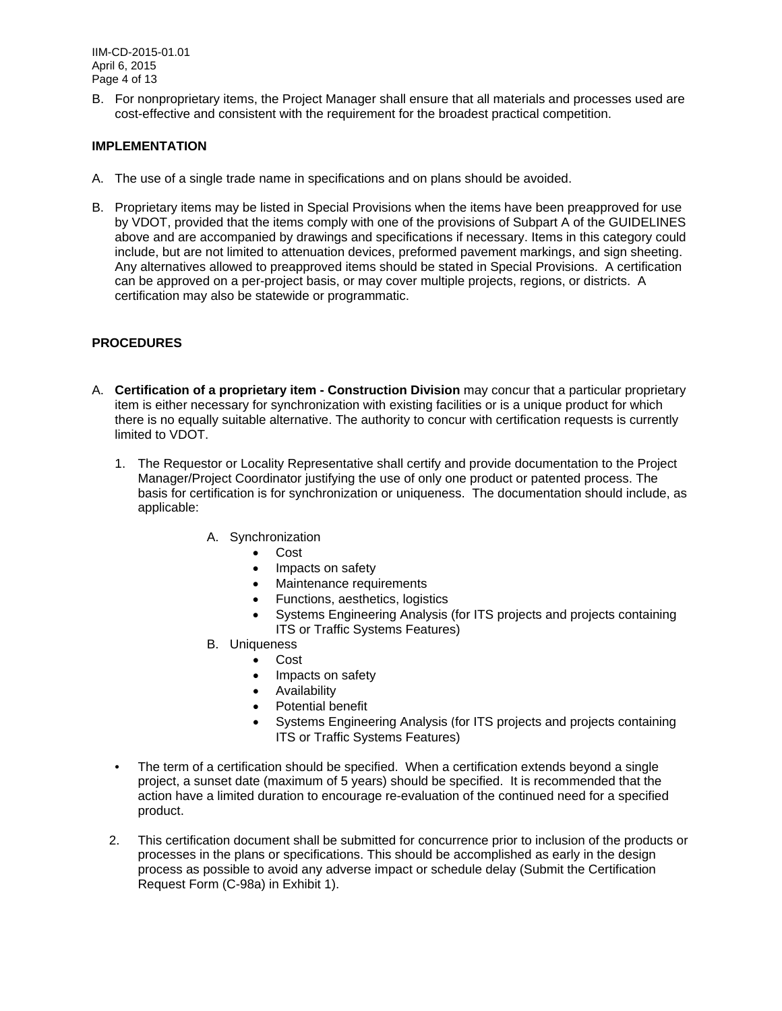IIM-CD-2015-01.01 April 6, 2015 Page 4 of 13

B. For nonproprietary items, the Project Manager shall ensure that all materials and processes used are cost-effective and consistent with the requirement for the broadest practical competition.

# **IMPLEMENTATION**

- A. The use of a single trade name in specifications and on plans should be avoided.
- B. Proprietary items may be listed in Special Provisions when the items have been preapproved for use by VDOT, provided that the items comply with one of the provisions of Subpart A of the GUIDELINES above and are accompanied by drawings and specifications if necessary. Items in this category could include, but are not limited to attenuation devices, preformed pavement markings, and sign sheeting. Any alternatives allowed to preapproved items should be stated in Special Provisions. A certification can be approved on a per-project basis, or may cover multiple projects, regions, or districts. A certification may also be statewide or programmatic.

# **PROCEDURES**

- A. **Certification of a proprietary item Construction Division** may concur that a particular proprietary item is either necessary for synchronization with existing facilities or is a unique product for which there is no equally suitable alternative. The authority to concur with certification requests is currently limited to VDOT.
	- 1. The Requestor or Locality Representative shall certify and provide documentation to the Project Manager/Project Coordinator justifying the use of only one product or patented process. The basis for certification is for synchronization or uniqueness. The documentation should include, as applicable:
		- A. Synchronization
			- Cost
			- Impacts on safety
			- Maintenance requirements
			- Functions, aesthetics, logistics
			- Systems Engineering Analysis (for ITS projects and projects containing ITS or Traffic Systems Features)
		- B. Uniqueness
			- Cost
			- Impacts on safety
			- Availability
			- **•** Potential benefit
			- Systems Engineering Analysis (for ITS projects and projects containing ITS or Traffic Systems Features)
	- The term of a certification should be specified. When a certification extends beyond a single project, a sunset date (maximum of 5 years) should be specified. It is recommended that the action have a limited duration to encourage re-evaluation of the continued need for a specified product.
	- 2. This certification document shall be submitted for concurrence prior to inclusion of the products or processes in the plans or specifications. This should be accomplished as early in the design process as possible to avoid any adverse impact or schedule delay (Submit the Certification Request Form (C-98a) in Exhibit 1).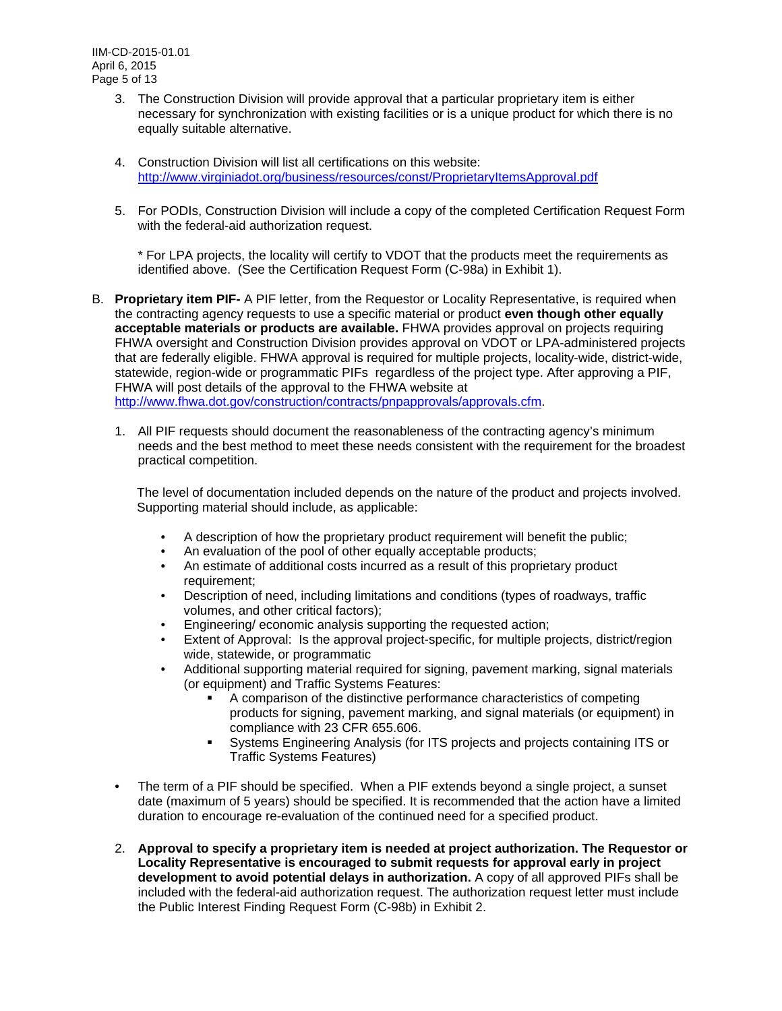- 3. The Construction Division will provide approval that a particular proprietary item is either necessary for synchronization with existing facilities or is a unique product for which there is no equally suitable alternative.
- 4. Construction Division will list all certifications on this website: http://www.virginiadot.org/business/resources/const/ProprietaryItemsApproval.pdf
- 5. For PODIs, Construction Division will include a copy of the completed Certification Request Form with the federal-aid authorization request.

\* For LPA projects, the locality will certify to VDOT that the products meet the requirements as identified above. (See the Certification Request Form (C-98a) in Exhibit 1).

- B. **Proprietary item PIF-** A PIF letter, from the Requestor or Locality Representative, is required when the contracting agency requests to use a specific material or product **even though other equally acceptable materials or products are available.** FHWA provides approval on projects requiring FHWA oversight and Construction Division provides approval on VDOT or LPA-administered projects that are federally eligible. FHWA approval is required for multiple projects, locality-wide, district-wide, statewide, region-wide or programmatic PIFs regardless of the project type. After approving a PIF, FHWA will post details of the approval to the FHWA website at http://www.fhwa.dot.gov/construction/contracts/pnpapprovals/approvals.cfm.
	- 1. All PIF requests should document the reasonableness of the contracting agency's minimum needs and the best method to meet these needs consistent with the requirement for the broadest practical competition.

The level of documentation included depends on the nature of the product and projects involved. Supporting material should include, as applicable:

- A description of how the proprietary product requirement will benefit the public;
- An evaluation of the pool of other equally acceptable products;
- An estimate of additional costs incurred as a result of this proprietary product requirement;
- Description of need, including limitations and conditions (types of roadways, traffic volumes, and other critical factors);
- Engineering/ economic analysis supporting the requested action;
- Extent of Approval: Is the approval project-specific, for multiple projects, district/region wide, statewide, or programmatic
- Additional supporting material required for signing, pavement marking, signal materials (or equipment) and Traffic Systems Features:
	- A comparison of the distinctive performance characteristics of competing products for signing, pavement marking, and signal materials (or equipment) in compliance with 23 CFR 655.606.
	- Systems Engineering Analysis (for ITS projects and projects containing ITS or Traffic Systems Features)
- The term of a PIF should be specified. When a PIF extends beyond a single project, a sunset date (maximum of 5 years) should be specified. It is recommended that the action have a limited duration to encourage re-evaluation of the continued need for a specified product.
- 2. **Approval to specify a proprietary item is needed at project authorization. The Requestor or Locality Representative is encouraged to submit requests for approval early in project development to avoid potential delays in authorization.** A copy of all approved PIFs shall be included with the federal-aid authorization request. The authorization request letter must include the Public Interest Finding Request Form (C-98b) in Exhibit 2.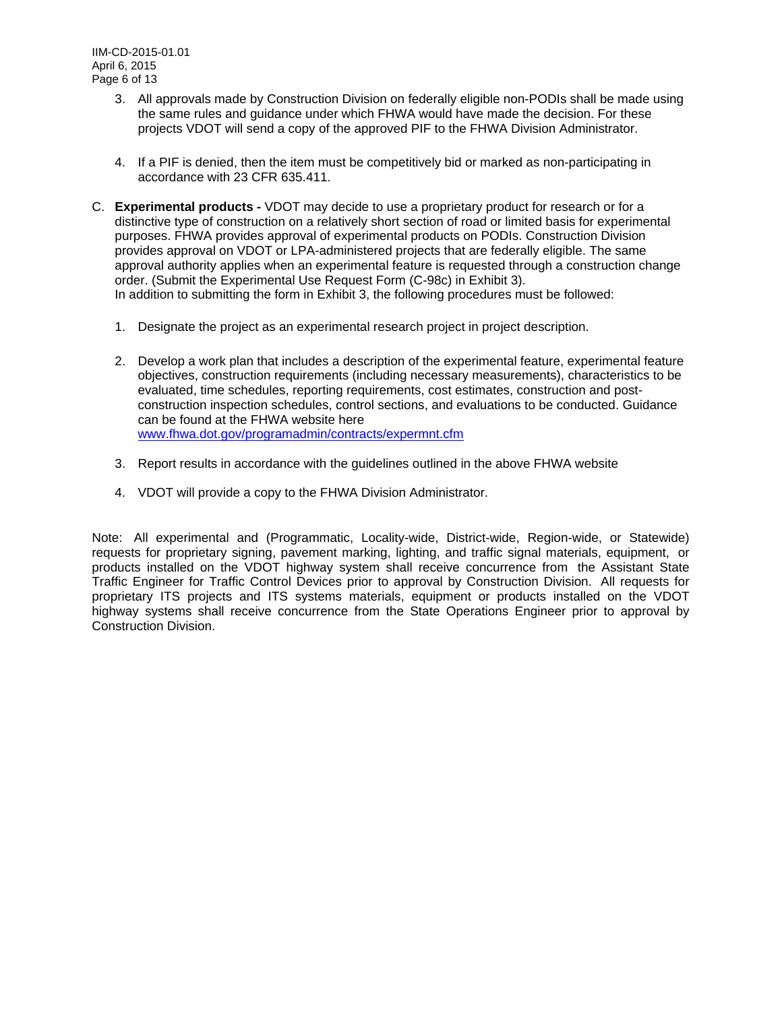IIM-CD-2015-01.01 April 6, 2015 Page 6 of 13

- 3. All approvals made by Construction Division on federally eligible non-PODIs shall be made using the same rules and guidance under which FHWA would have made the decision. For these projects VDOT will send a copy of the approved PIF to the FHWA Division Administrator.
- 4. If a PIF is denied, then the item must be competitively bid or marked as non-participating in accordance with 23 CFR 635.411.
- C. **Experimental products** VDOT may decide to use a proprietary product for research or for a distinctive type of construction on a relatively short section of road or limited basis for experimental purposes. FHWA provides approval of experimental products on PODIs. Construction Division provides approval on VDOT or LPA-administered projects that are federally eligible. The same approval authority applies when an experimental feature is requested through a construction change order. (Submit the Experimental Use Request Form (C-98c) in Exhibit 3). In addition to submitting the form in Exhibit 3, the following procedures must be followed:
	- 1. Designate the project as an experimental research project in project description.
	- 2. Develop a work plan that includes a description of the experimental feature, experimental feature objectives, construction requirements (including necessary measurements), characteristics to be evaluated, time schedules, reporting requirements, cost estimates, construction and postconstruction inspection schedules, control sections, and evaluations to be conducted. Guidance can be found at the FHWA website here www.fhwa.dot.gov/programadmin/contracts/expermnt.cfm
	- 3. Report results in accordance with the guidelines outlined in the above FHWA website
	- 4. VDOT will provide a copy to the FHWA Division Administrator.

Note: All experimental and (Programmatic, Locality-wide, District-wide, Region-wide, or Statewide) requests for proprietary signing, pavement marking, lighting, and traffic signal materials, equipment, or products installed on the VDOT highway system shall receive concurrence from the Assistant State Traffic Engineer for Traffic Control Devices prior to approval by Construction Division. All requests for proprietary ITS projects and ITS systems materials, equipment or products installed on the VDOT highway systems shall receive concurrence from the State Operations Engineer prior to approval by Construction Division.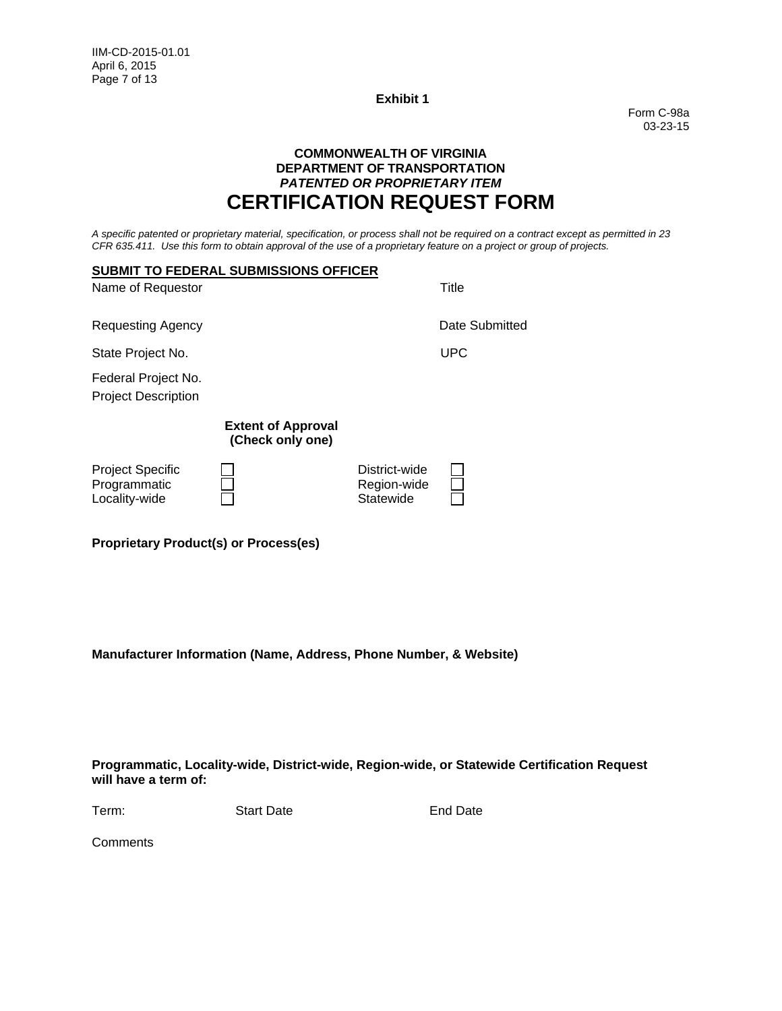Form C-98a 03-23-15

# **COMMONWEALTH OF VIRGINIA DEPARTMENT OF TRANSPORTATION** *PATENTED OR PROPRIETARY ITEM* **CERTIFICATION REQUEST FORM**

*A specific patented or proprietary material, specification, or process shall not be required on a contract except as permitted in 23 CFR 635.411. Use this form to obtain approval of the use of a proprietary feature on a project or group of projects.* 

|                                                   | <b>SUBMIT TO FEDERAL SUBMISSIONS OFFICER</b>  |                                           |                |
|---------------------------------------------------|-----------------------------------------------|-------------------------------------------|----------------|
| Name of Requestor                                 |                                               |                                           | Title          |
| Requesting Agency                                 |                                               |                                           | Date Submitted |
| State Project No.                                 |                                               |                                           | <b>UPC</b>     |
| Federal Project No.<br><b>Project Description</b> |                                               |                                           |                |
|                                                   | <b>Extent of Approval</b><br>(Check only one) |                                           |                |
| Project Specific<br>Programmatic<br>Locality-wide |                                               | District-wide<br>Region-wide<br>Statewide |                |

**Proprietary Product(s) or Process(es)** 

**Manufacturer Information (Name, Address, Phone Number, & Website)** 

**Programmatic, Locality-wide, District-wide, Region-wide, or Statewide Certification Request will have a term of:**

Term: Start Date **End Date** 

**Comments**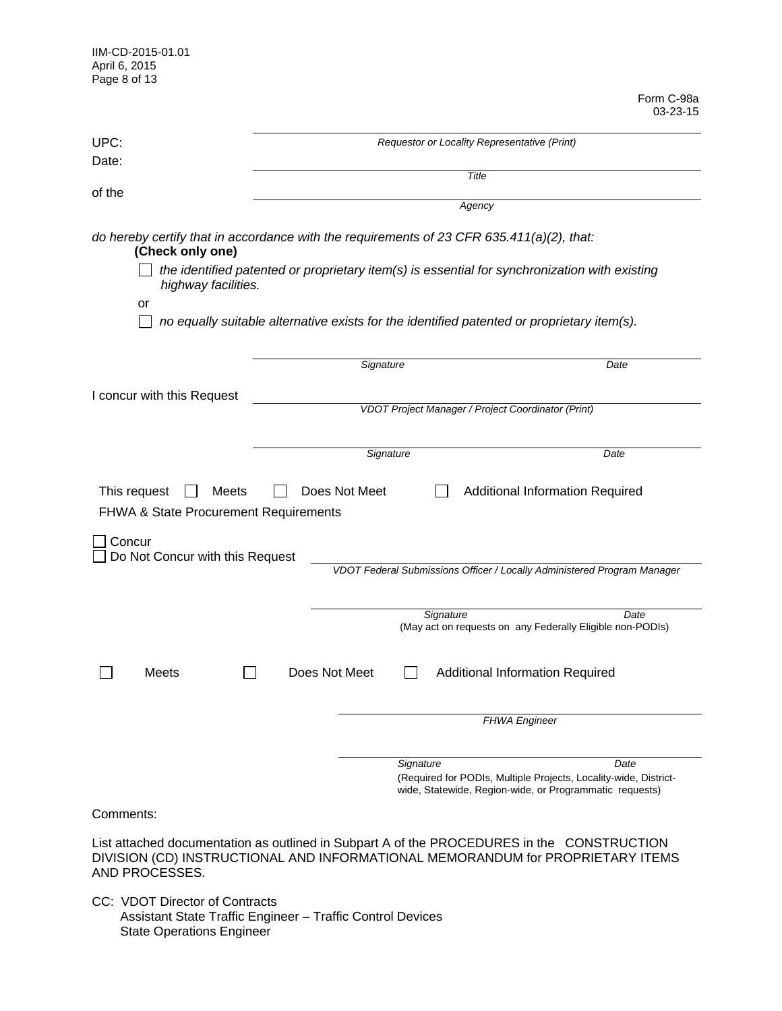| IIM-CD-2015-01.01 |
|-------------------|
| April 6, 2015     |
| Page 8 of 13      |

Form C-98a 03-23-15

|                                                                           |               |                                                                                                                                                                                                                                                                                          | 03-23-15 |
|---------------------------------------------------------------------------|---------------|------------------------------------------------------------------------------------------------------------------------------------------------------------------------------------------------------------------------------------------------------------------------------------------|----------|
| UPC:<br>Date:                                                             |               | Requestor or Locality Representative (Print)                                                                                                                                                                                                                                             |          |
|                                                                           |               | Title                                                                                                                                                                                                                                                                                    |          |
| of the                                                                    |               | Agency                                                                                                                                                                                                                                                                                   |          |
| (Check only one)<br>highway facilities.<br>or                             |               | do hereby certify that in accordance with the requirements of 23 CFR 635.411(a)(2), that:<br>the identified patented or proprietary item(s) is essential for synchronization with existing<br>no equally suitable alternative exists for the identified patented or proprietary item(s). |          |
|                                                                           | Signature     |                                                                                                                                                                                                                                                                                          | Date     |
|                                                                           |               |                                                                                                                                                                                                                                                                                          |          |
| I concur with this Request                                                |               | VDOT Project Manager / Project Coordinator (Print)                                                                                                                                                                                                                                       |          |
|                                                                           |               |                                                                                                                                                                                                                                                                                          |          |
|                                                                           | Signature     |                                                                                                                                                                                                                                                                                          | Date     |
| This request<br>Meets<br><b>FHWA &amp; State Procurement Requirements</b> | Does Not Meet | <b>Additional Information Required</b>                                                                                                                                                                                                                                                   |          |
| Concur                                                                    |               |                                                                                                                                                                                                                                                                                          |          |
| Do Not Concur with this Request                                           |               | VDOT Federal Submissions Officer / Locally Administered Program Manager                                                                                                                                                                                                                  |          |
|                                                                           |               |                                                                                                                                                                                                                                                                                          |          |
|                                                                           |               | Signature<br>(May act on requests on any Federally Eligible non-PODIs)                                                                                                                                                                                                                   | Date     |
| Meets                                                                     | Does Not Meet | <b>Additional Information Required</b>                                                                                                                                                                                                                                                   |          |
|                                                                           |               | <b>FHWA Engineer</b>                                                                                                                                                                                                                                                                     |          |
|                                                                           |               |                                                                                                                                                                                                                                                                                          |          |
|                                                                           |               | Signature<br>(Required for PODIs, Multiple Projects, Locality-wide, District-<br>wide, Statewide, Region-wide, or Programmatic requests)                                                                                                                                                 | Date     |
| Comments:                                                                 |               |                                                                                                                                                                                                                                                                                          |          |
|                                                                           |               | List attached documentation as outlined in Subpart A of the PROCEDURES in the CONSTRUCTION                                                                                                                                                                                               |          |

DIVISION (CD) INSTRUCTIONAL AND INFORMATIONAL MEMORANDUM for PROPRIETARY ITEMS AND PROCESSES.

CC: VDOT Director of Contracts Assistant State Traffic Engineer – Traffic Control Devices State Operations Engineer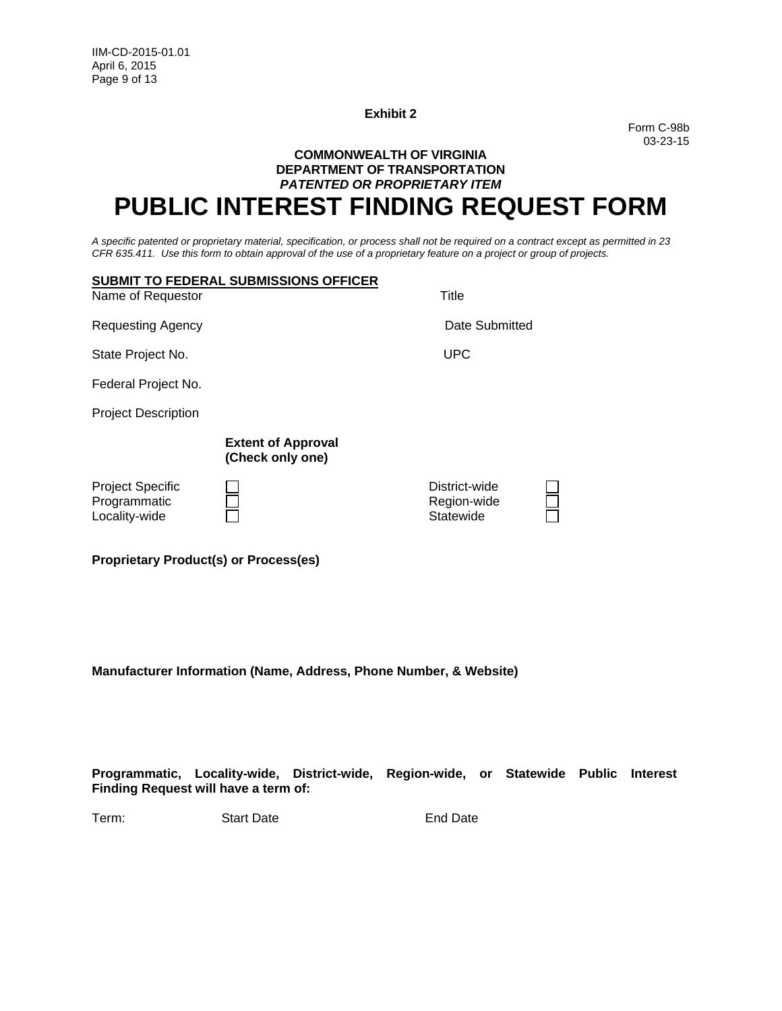Form C-98b 03-23-15

# **COMMONWEALTH OF VIRGINIA DEPARTMENT OF TRANSPORTATION** *PATENTED OR PROPRIETARY ITEM* **PUBLIC INTEREST FINDING REQUEST FORM**

*A specific patented or proprietary material, specification, or process shall not be required on a contract except as permitted in 23 CFR 635.411. Use this form to obtain approval of the use of a proprietary feature on a project or group of projects.*

| Name of Requestor                                        | <b>SUBMIT TO FEDERAL SUBMISSIONS OFFICER</b>  | Title                                     |  |
|----------------------------------------------------------|-----------------------------------------------|-------------------------------------------|--|
| <b>Requesting Agency</b>                                 |                                               | Date Submitted                            |  |
| State Project No.                                        |                                               | <b>UPC</b>                                |  |
| Federal Project No.                                      |                                               |                                           |  |
| <b>Project Description</b>                               |                                               |                                           |  |
|                                                          | <b>Extent of Approval</b><br>(Check only one) |                                           |  |
| <b>Project Specific</b><br>Programmatic<br>Locality-wide |                                               | District-wide<br>Region-wide<br>Statewide |  |

**Proprietary Product(s) or Process(es)** 

**Manufacturer Information (Name, Address, Phone Number, & Website)** 

**Programmatic, Locality-wide, District-wide, Region-wide, or Statewide Public Interest Finding Request will have a term of:**

Term: Start Date **Start Date** End Date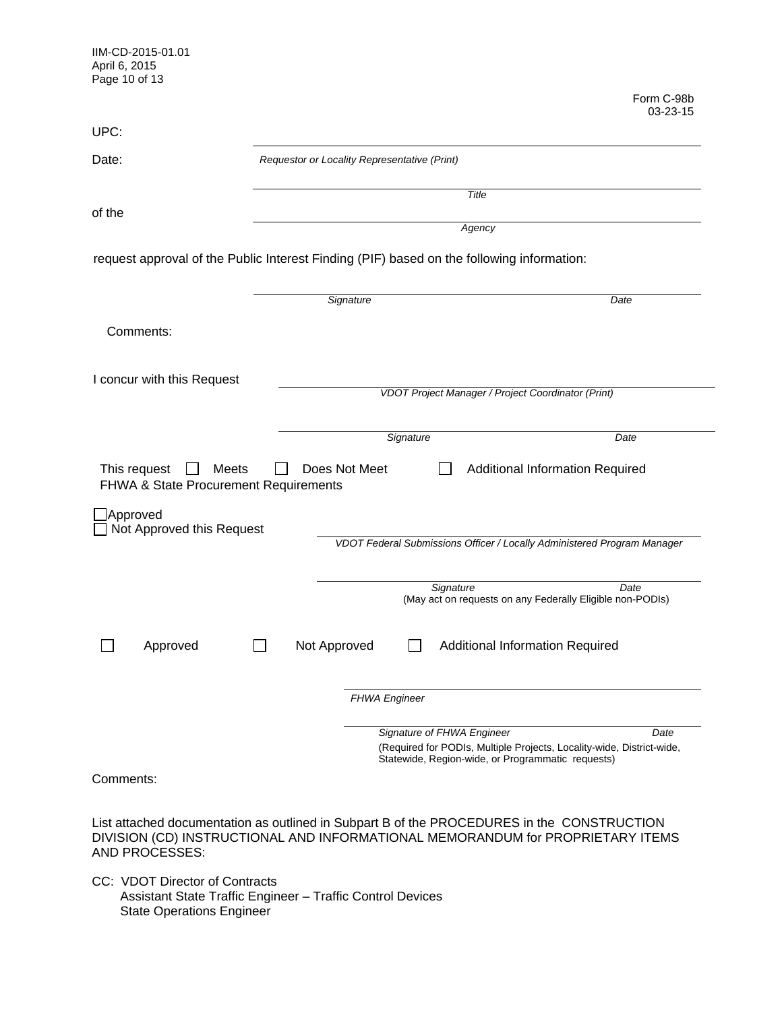| IIM-CD-2015-01.01<br>April 6, 2015<br>Page 10 of 13            |                                              |                                                                                                     |                        |
|----------------------------------------------------------------|----------------------------------------------|-----------------------------------------------------------------------------------------------------|------------------------|
|                                                                |                                              |                                                                                                     | Form C-98b<br>03-23-15 |
| UPC:                                                           |                                              |                                                                                                     |                        |
| Date:                                                          | Requestor or Locality Representative (Print) |                                                                                                     |                        |
| of the                                                         |                                              | Title                                                                                               |                        |
|                                                                |                                              | Agency                                                                                              |                        |
|                                                                |                                              | request approval of the Public Interest Finding (PIF) based on the following information:           |                        |
|                                                                | Signature                                    |                                                                                                     | Date                   |
| Comments:                                                      |                                              |                                                                                                     |                        |
| I concur with this Request                                     |                                              | VDOT Project Manager / Project Coordinator (Print)                                                  |                        |
|                                                                |                                              |                                                                                                     |                        |
|                                                                |                                              | Signature                                                                                           | Date                   |
| This request<br>Meets<br>FHWA & State Procurement Requirements | Does Not Meet                                | Additional Information Required                                                                     |                        |
| Approved<br>Not Approved this Request                          |                                              |                                                                                                     |                        |
|                                                                |                                              | VDOT Federal Submissions Officer / Locally Administered Program Manager                             |                        |
|                                                                |                                              | Signature<br>(May act on requests on any Federally Eligible non-PODIs)                              | Date                   |
| Approved                                                       | Not Approved                                 | Additional Information Required                                                                     |                        |
|                                                                | <b>FHWA Engineer</b>                         |                                                                                                     |                        |
|                                                                |                                              | Signature of FHWA Engineer<br>(Required for PODIs, Multiple Projects, Locality-wide, District-wide, | Date                   |
|                                                                |                                              | Statewide, Region-wide, or Programmatic requests)                                                   |                        |
| Comments:                                                      |                                              |                                                                                                     |                        |

List attached documentation as outlined in Subpart B of the PROCEDURES in the CONSTRUCTION DIVISION (CD) INSTRUCTIONAL AND INFORMATIONAL MEMORANDUM for PROPRIETARY ITEMS AND PROCESSES:

CC: VDOT Director of Contracts Assistant State Traffic Engineer – Traffic Control Devices State Operations Engineer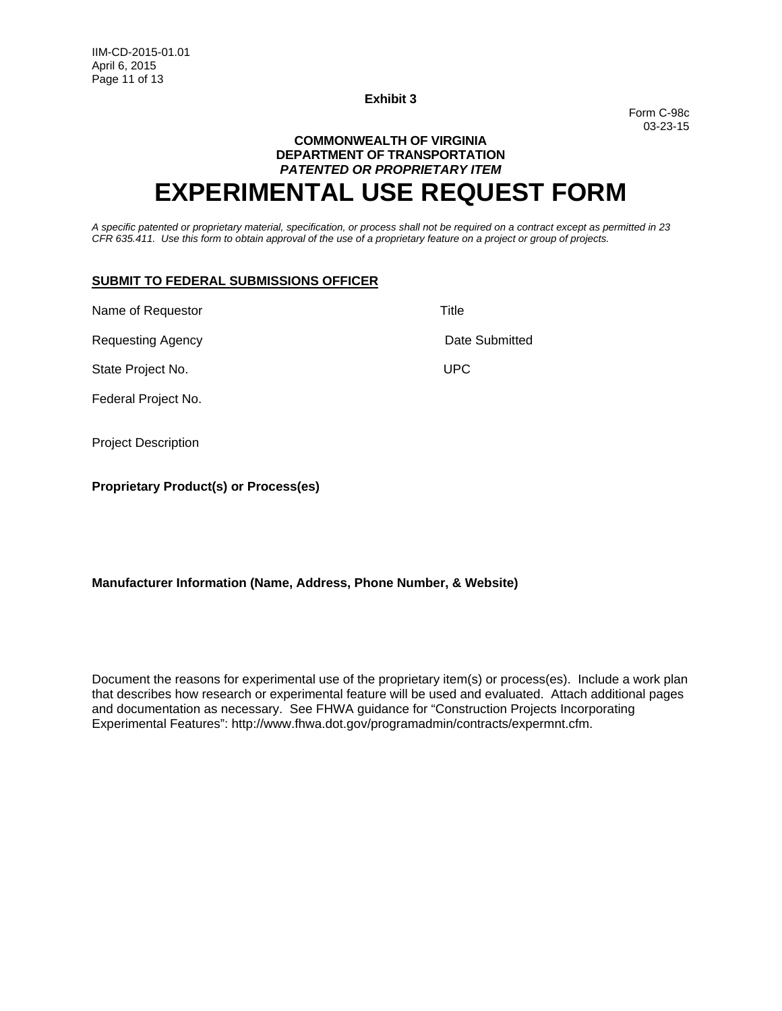Form C-98c 03-23-15

# **COMMONWEALTH OF VIRGINIA DEPARTMENT OF TRANSPORTATION** *PATENTED OR PROPRIETARY ITEM* **EXPERIMENTAL USE REQUEST FORM**

*A specific patented or proprietary material, specification, or process shall not be required on a contract except as permitted in 23 CFR 635.411. Use this form to obtain approval of the use of a proprietary feature on a project or group of projects.*

#### **SUBMIT TO FEDERAL SUBMISSIONS OFFICER**

Name of Requestor Title Requesting Agency **Date Submitted** State Project No. 2008 2009 12:00:00 NM UPC Federal Project No. Project Description

**Proprietary Product(s) or Process(es)** 

### **Manufacturer Information (Name, Address, Phone Number, & Website)**

Document the reasons for experimental use of the proprietary item(s) or process(es). Include a work plan that describes how research or experimental feature will be used and evaluated. Attach additional pages and documentation as necessary. See FHWA guidance for "Construction Projects Incorporating Experimental Features": http://www.fhwa.dot.gov/programadmin/contracts/expermnt.cfm.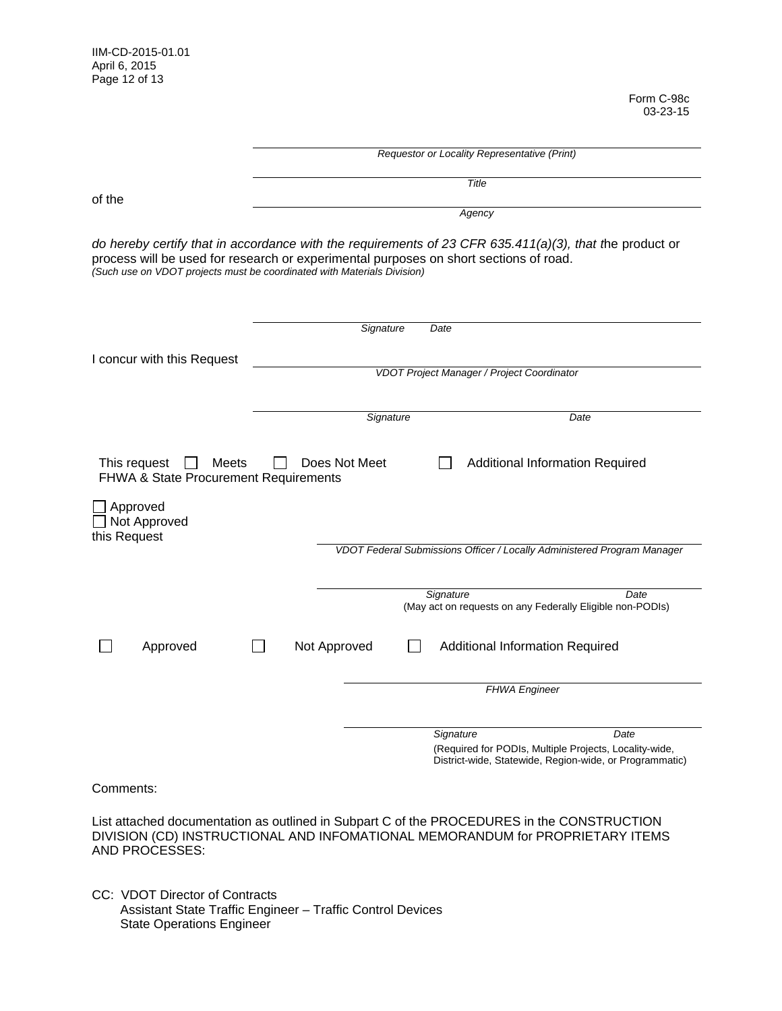Form C-98c 03-23-15

|                                          | Requestor or Locality Representative (Print)                                                                                                                                                                                                                                |  |  |
|------------------------------------------|-----------------------------------------------------------------------------------------------------------------------------------------------------------------------------------------------------------------------------------------------------------------------------|--|--|
|                                          | Title                                                                                                                                                                                                                                                                       |  |  |
| of the                                   | Agency                                                                                                                                                                                                                                                                      |  |  |
|                                          | do hereby certify that in accordance with the requirements of 23 CFR 635.411(a)(3), that the product or<br>process will be used for research or experimental purposes on short sections of road.<br>(Such use on VDOT projects must be coordinated with Materials Division) |  |  |
|                                          | Signature<br>Date                                                                                                                                                                                                                                                           |  |  |
| I concur with this Request               |                                                                                                                                                                                                                                                                             |  |  |
|                                          | VDOT Project Manager / Project Coordinator                                                                                                                                                                                                                                  |  |  |
|                                          | Signature<br>Date                                                                                                                                                                                                                                                           |  |  |
| Approved<br>Not Approved<br>this Request | VDOT Federal Submissions Officer / Locally Administered Program Manager                                                                                                                                                                                                     |  |  |
|                                          | Signature<br>Date<br>(May act on requests on any Federally Eligible non-PODIs)                                                                                                                                                                                              |  |  |
| Approved                                 | Not Approved<br><b>Additional Information Required</b>                                                                                                                                                                                                                      |  |  |
|                                          | <b>FHWA Engineer</b>                                                                                                                                                                                                                                                        |  |  |
|                                          | Signature<br>Date<br>(Required for PODIs, Multiple Projects, Locality-wide,<br>District-wide, Statewide, Region-wide, or Programmatic)                                                                                                                                      |  |  |
| Comments:                                |                                                                                                                                                                                                                                                                             |  |  |
| AND PROCESSES:                           | List attached documentation as outlined in Subpart C of the PROCEDURES in the CONSTRUCTION<br>DIVISION (CD) INSTRUCTIONAL AND INFOMATIONAL MEMORANDUM for PROPRIETARY ITEMS                                                                                                 |  |  |

CC: VDOT Director of Contracts Assistant State Traffic Engineer – Traffic Control Devices State Operations Engineer